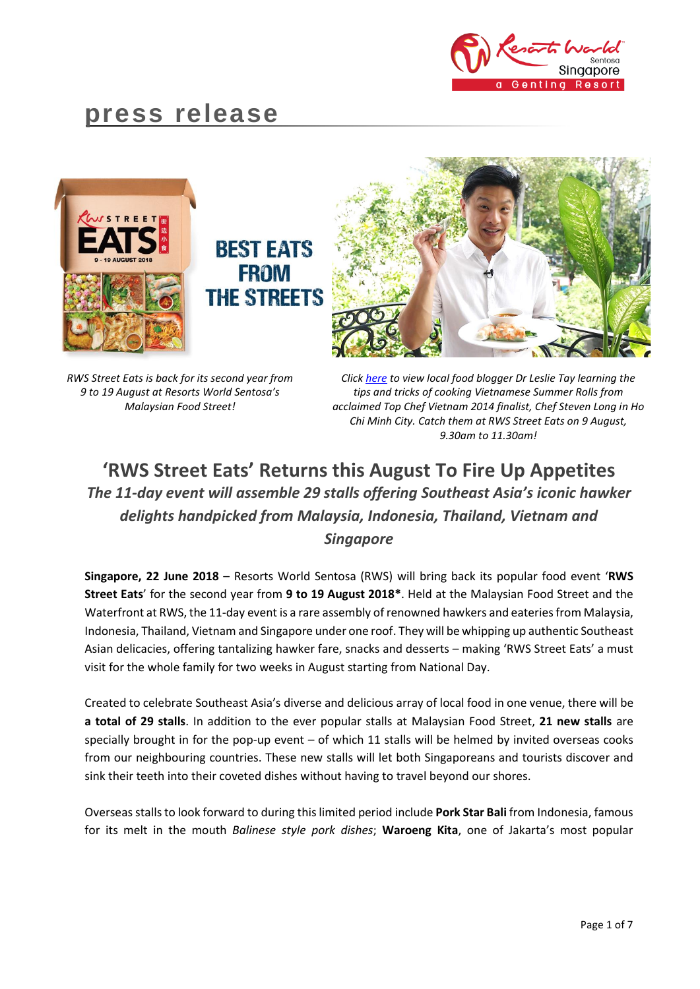

# **press release**



*RWS Street Eats is back for its second year from 9 to 19 August at Resorts World Sentosa's Malaysian Food Street!*

*Click [here](https://www.facebook.com/ieatishootipost/videos/10155581134501302/) to view local food blogger Dr Leslie Tay learning the tips and tricks of cooking Vietnamese Summer Rolls from acclaimed Top Chef Vietnam 2014 finalist, Chef Steven Long in Ho Chi Minh City. Catch them at RWS Street Eats on 9 August, 9.30am to 11.30am!*

## **'RWS Street Eats' Returns this August To Fire Up Appetites**  *The 11-day event will assemble 29 stalls offering Southeast Asia's iconic hawker delights handpicked from Malaysia, Indonesia, Thailand, Vietnam and Singapore*

**Singapore, 22 June 2018** – Resorts World Sentosa (RWS) will bring back its popular food event '**RWS Street Eats**' for the second year from **9 to 19 August 2018\***. Held at the Malaysian Food Street and the Waterfront at RWS, the 11-day event is a rare assembly of renowned hawkers and eateries from Malaysia, Indonesia, Thailand, Vietnam and Singapore under one roof. They will be whipping up authentic Southeast Asian delicacies, offering tantalizing hawker fare, snacks and desserts – making 'RWS Street Eats' a must visit for the whole family for two weeks in August starting from National Day.

Created to celebrate Southeast Asia's diverse and delicious array of local food in one venue, there will be **a total of 29 stalls**. In addition to the ever popular stalls at Malaysian Food Street, **21 new stalls** are specially brought in for the pop-up event – of which 11 stalls will be helmed by invited overseas cooks from our neighbouring countries. These new stalls will let both Singaporeans and tourists discover and sink their teeth into their coveted dishes without having to travel beyond our shores.

Overseas stalls to look forward to during this limited period include **Pork Star Bali** from Indonesia, famous for its melt in the mouth *Balinese style pork dishes*; **Waroeng Kita**, one of Jakarta's most popular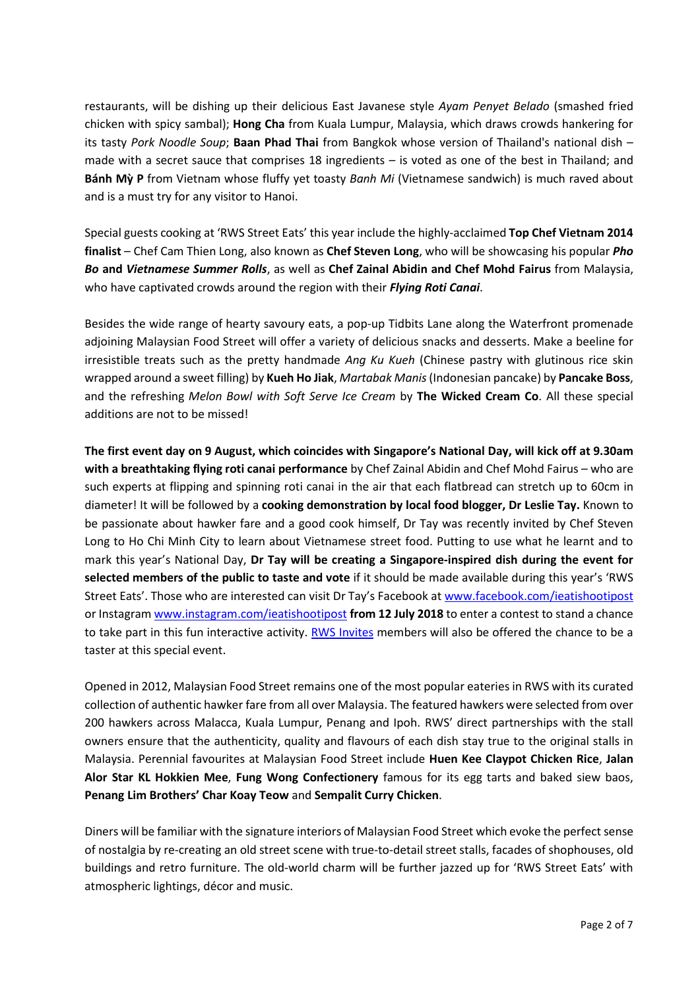restaurants, will be dishing up their delicious East Javanese style *Ayam Penyet Belado* (smashed fried chicken with spicy sambal); **Hong Cha** from Kuala Lumpur, Malaysia, which draws crowds hankering for its tasty *Pork Noodle Soup*; **Baan Phad Thai** from Bangkok whose version of Thailand's national dish – made with a secret sauce that comprises 18 ingredients – is voted as one of the best in Thailand; and **Bánh Mỳ P** from Vietnam whose fluffy yet toasty *Banh Mi* (Vietnamese sandwich) is much raved about and is a must try for any visitor to Hanoi.

Special guests cooking at 'RWS Street Eats' this year include the highly-acclaimed **Top Chef Vietnam 2014 finalist** – Chef Cam Thien Long, also known as **Chef Steven Long**, who will be showcasing his popular *Pho Bo* **and** *Vietnamese Summer Rolls*, as well as **Chef Zainal Abidin and Chef Mohd Fairus** from Malaysia, who have captivated crowds around the region with their *Flying Roti Canai*.

Besides the wide range of hearty savoury eats, a pop-up Tidbits Lane along the Waterfront promenade adjoining Malaysian Food Street will offer a variety of delicious snacks and desserts. Make a beeline for irresistible treats such as the pretty handmade *Ang Ku Kueh* (Chinese pastry with glutinous rice skin wrapped around a sweet filling) by **Kueh Ho Jiak**, *Martabak Manis*(Indonesian pancake) by **Pancake Boss**, and the refreshing *Melon Bowl with Soft Serve Ice Cream* by **The Wicked Cream Co**. All these special additions are not to be missed!

**The first event day on 9 August, which coincides with Singapore's National Day, will kick off at 9.30am with a breathtaking flying roti canai performance** by Chef Zainal Abidin and Chef Mohd Fairus – who are such experts at flipping and spinning roti canai in the air that each flatbread can stretch up to 60cm in diameter! It will be followed by a **cooking demonstration by local food blogger, Dr Leslie Tay.** Known to be passionate about hawker fare and a good cook himself, Dr Tay was recently invited by Chef Steven Long to Ho Chi Minh City to learn about Vietnamese street food. Putting to use what he learnt and to mark this year's National Day, **Dr Tay will be creating a Singapore-inspired dish during the event for selected members of the public to taste and vote** if it should be made available during this year's 'RWS Street Eats'. Those who are interested can visit Dr Tay's Facebook at [www.facebook.com/ieatishootipost](http://www.facebook.com/ieatishootipost) or Instagram [www.instagram.com/ieatishootipost](http://www.instagram.com/ieatishootipost) **from 12 July 2018** to enter a contest to stand a chance to take part in this fun interactive activity. [RWS Invites](https://www.rwsentosa.com/en/rwsinvites) members will also be offered the chance to be a taster at this special event.

Opened in 2012, Malaysian Food Street remains one of the most popular eateries in RWS with its curated collection of authentic hawker fare from all over Malaysia. The featured hawkers were selected from over 200 hawkers across Malacca, Kuala Lumpur, Penang and Ipoh. RWS' direct partnerships with the stall owners ensure that the authenticity, quality and flavours of each dish stay true to the original stalls in Malaysia. Perennial favourites at Malaysian Food Street include **Huen Kee Claypot Chicken Rice**, **Jalan Alor Star KL Hokkien Mee**, **Fung Wong Confectionery** famous for its egg tarts and baked siew baos, **Penang Lim Brothers' Char Koay Teow** and **Sempalit Curry Chicken**.

Diners will be familiar with the signature interiors of Malaysian Food Street which evoke the perfect sense of nostalgia by re-creating an old street scene with true-to-detail street stalls, facades of shophouses, old buildings and retro furniture. The old-world charm will be further jazzed up for 'RWS Street Eats' with atmospheric lightings, décor and music.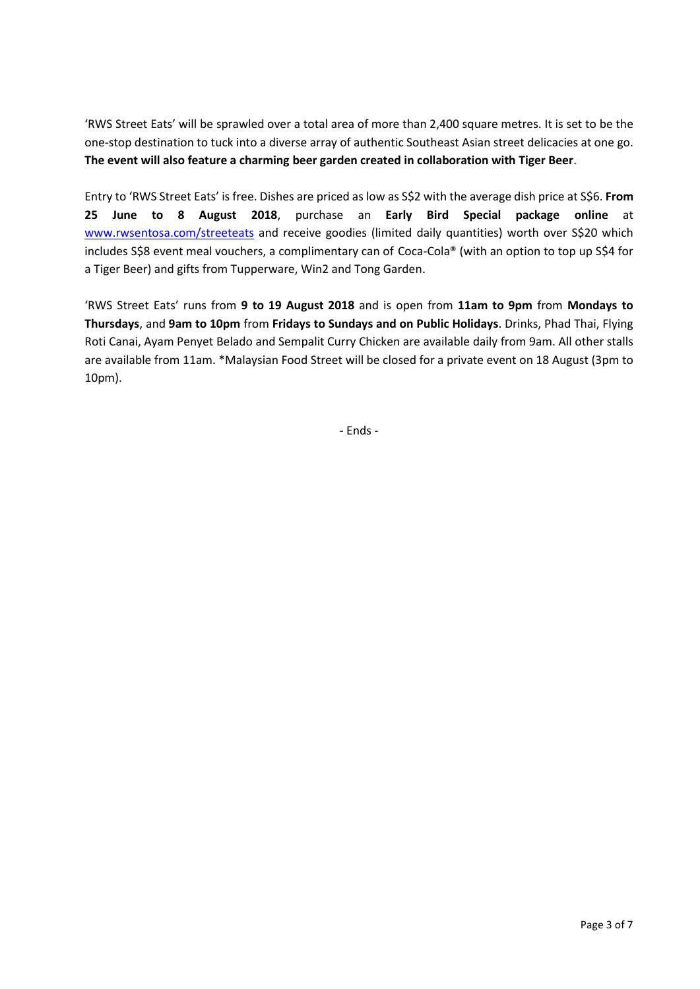'RWS Street Eats' will be sprawled over a total area of more than 2,400 square metres. It is set to be the one-stop destination to tuck into a diverse array of authentic Southeast Asian street delicacies at one go. **The event will also feature a charming beer garden created in collaboration with Tiger Beer**.

Entry to 'RWS Street Eats' is free. Dishes are priced as low as S\$2 with the average dish price at S\$6. **From 25 June to 8 August 2018**, purchase an **Early Bird Special package online** at [www.rwsentosa.com/streeteats](http://www.rwsentosa.com/streeteats) and receive goodies (limited daily quantities) worth over S\$20 which includes S\$8 event meal vouchers, a complimentary can of Coca-Cola® (with an option to top up S\$4 for a Tiger Beer) and gifts from Tupperware, Win2 and Tong Garden.

'RWS Street Eats' runs from **9 to 19 August 2018** and is open from **11am to 9pm** from **Mondays to Thursdays**, and **9am to 10pm** from **Fridays to Sundays and on Public Holidays**. Drinks, Phad Thai, Flying Roti Canai, Ayam Penyet Belado and Sempalit Curry Chicken are available daily from 9am. All other stalls are available from 11am. \*Malaysian Food Street will be closed for a private event on 18 August (3pm to 10pm).

- Ends -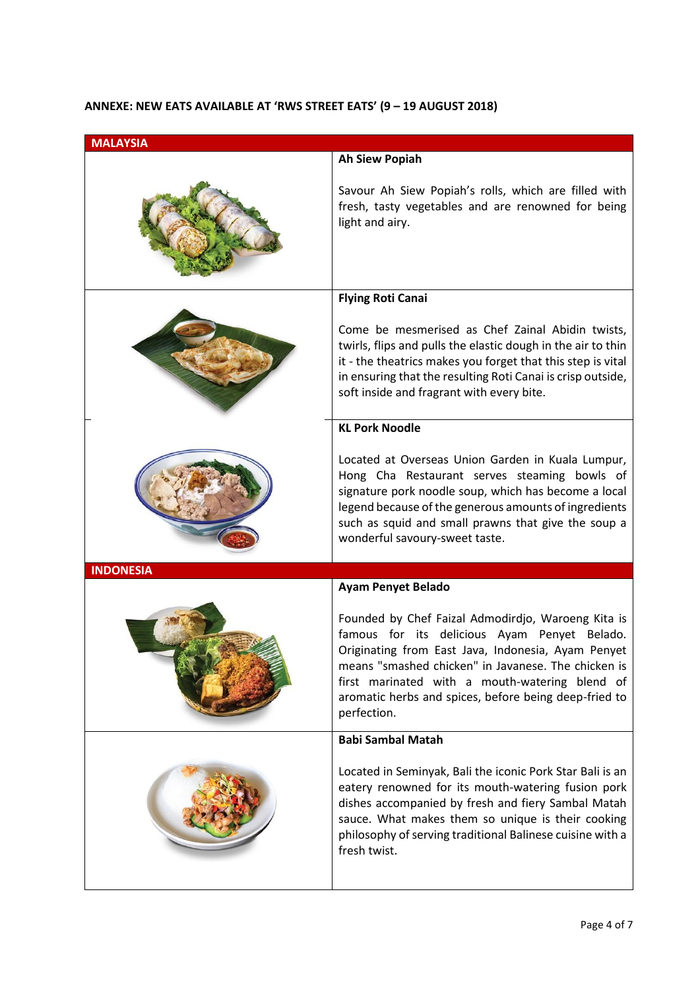### **ANNEXE: NEW EATS AVAILABLE AT 'RWS STREET EATS' (9 – 19 AUGUST 2018)**

| <b>MALAYSIA</b>  |                                                                                                                                                                                                                                                                                                                                           |
|------------------|-------------------------------------------------------------------------------------------------------------------------------------------------------------------------------------------------------------------------------------------------------------------------------------------------------------------------------------------|
|                  | <b>Ah Siew Popiah</b>                                                                                                                                                                                                                                                                                                                     |
|                  | Savour Ah Siew Popiah's rolls, which are filled with<br>fresh, tasty vegetables and are renowned for being<br>light and airy.                                                                                                                                                                                                             |
|                  | <b>Flying Roti Canai</b>                                                                                                                                                                                                                                                                                                                  |
|                  | Come be mesmerised as Chef Zainal Abidin twists,<br>twirls, flips and pulls the elastic dough in the air to thin<br>it - the theatrics makes you forget that this step is vital<br>in ensuring that the resulting Roti Canai is crisp outside,<br>soft inside and fragrant with every bite.                                               |
|                  | <b>KL Pork Noodle</b>                                                                                                                                                                                                                                                                                                                     |
|                  | Located at Overseas Union Garden in Kuala Lumpur,<br>Hong Cha Restaurant serves steaming bowls of<br>signature pork noodle soup, which has become a local<br>legend because of the generous amounts of ingredients<br>such as squid and small prawns that give the soup a<br>wonderful savoury-sweet taste.                               |
| <b>INDONESIA</b> |                                                                                                                                                                                                                                                                                                                                           |
|                  | <b>Ayam Penyet Belado</b>                                                                                                                                                                                                                                                                                                                 |
|                  | Founded by Chef Faizal Admodirdjo, Waroeng Kita is<br>famous for its delicious Ayam Penyet Belado.<br>Originating from East Java, Indonesia, Ayam Penyet<br>means "smashed chicken" in Javanese. The chicken is<br>first marinated with a mouth-watering blend of<br>aromatic herbs and spices, before being deep-fried to<br>perfection. |
|                  | <b>Babi Sambal Matah</b>                                                                                                                                                                                                                                                                                                                  |
|                  | Located in Seminyak, Bali the iconic Pork Star Bali is an<br>eatery renowned for its mouth-watering fusion pork<br>dishes accompanied by fresh and fiery Sambal Matah<br>sauce. What makes them so unique is their cooking<br>philosophy of serving traditional Balinese cuisine with a<br>fresh twist.                                   |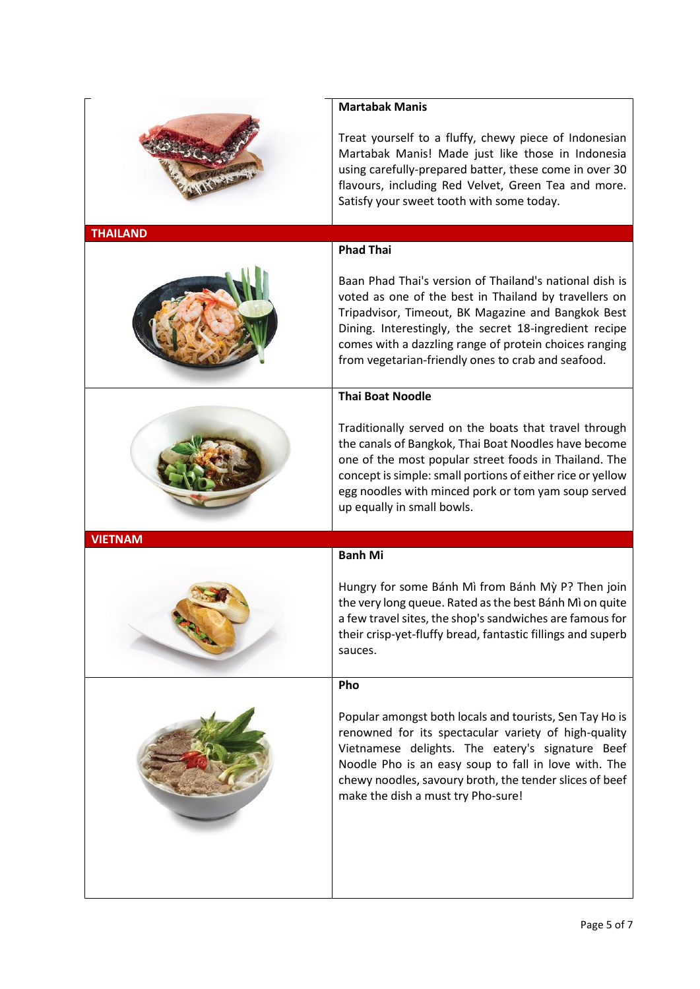|                 | <b>Martabak Manis</b>                                                                                                                                                                                                                                                                                                                                                |
|-----------------|----------------------------------------------------------------------------------------------------------------------------------------------------------------------------------------------------------------------------------------------------------------------------------------------------------------------------------------------------------------------|
|                 | Treat yourself to a fluffy, chewy piece of Indonesian<br>Martabak Manis! Made just like those in Indonesia<br>using carefully-prepared batter, these come in over 30<br>flavours, including Red Velvet, Green Tea and more.<br>Satisfy your sweet tooth with some today.                                                                                             |
| <b>THAILAND</b> |                                                                                                                                                                                                                                                                                                                                                                      |
|                 | <b>Phad Thai</b><br>Baan Phad Thai's version of Thailand's national dish is<br>voted as one of the best in Thailand by travellers on<br>Tripadvisor, Timeout, BK Magazine and Bangkok Best<br>Dining. Interestingly, the secret 18-ingredient recipe<br>comes with a dazzling range of protein choices ranging<br>from vegetarian-friendly ones to crab and seafood. |
|                 | <b>Thai Boat Noodle</b>                                                                                                                                                                                                                                                                                                                                              |
|                 | Traditionally served on the boats that travel through<br>the canals of Bangkok, Thai Boat Noodles have become<br>one of the most popular street foods in Thailand. The<br>concept is simple: small portions of either rice or yellow<br>egg noodles with minced pork or tom yam soup served<br>up equally in small bowls.                                            |
| <b>VIETNAM</b>  |                                                                                                                                                                                                                                                                                                                                                                      |
|                 | <b>Banh Mi</b>                                                                                                                                                                                                                                                                                                                                                       |
|                 | Hungry for some Bánh Mì from Bánh Mỳ P? Then join<br>the very long queue. Rated as the best Bánh Mì on quite<br>a few travel sites, the shop's sandwiches are famous for<br>their crisp-yet-fluffy bread, fantastic fillings and superb<br>sauces.                                                                                                                   |
|                 | Pho                                                                                                                                                                                                                                                                                                                                                                  |
|                 | Popular amongst both locals and tourists, Sen Tay Ho is<br>renowned for its spectacular variety of high-quality<br>Vietnamese delights. The eatery's signature Beef<br>Noodle Pho is an easy soup to fall in love with. The<br>chewy noodles, savoury broth, the tender slices of beef<br>make the dish a must try Pho-sure!                                         |
|                 |                                                                                                                                                                                                                                                                                                                                                                      |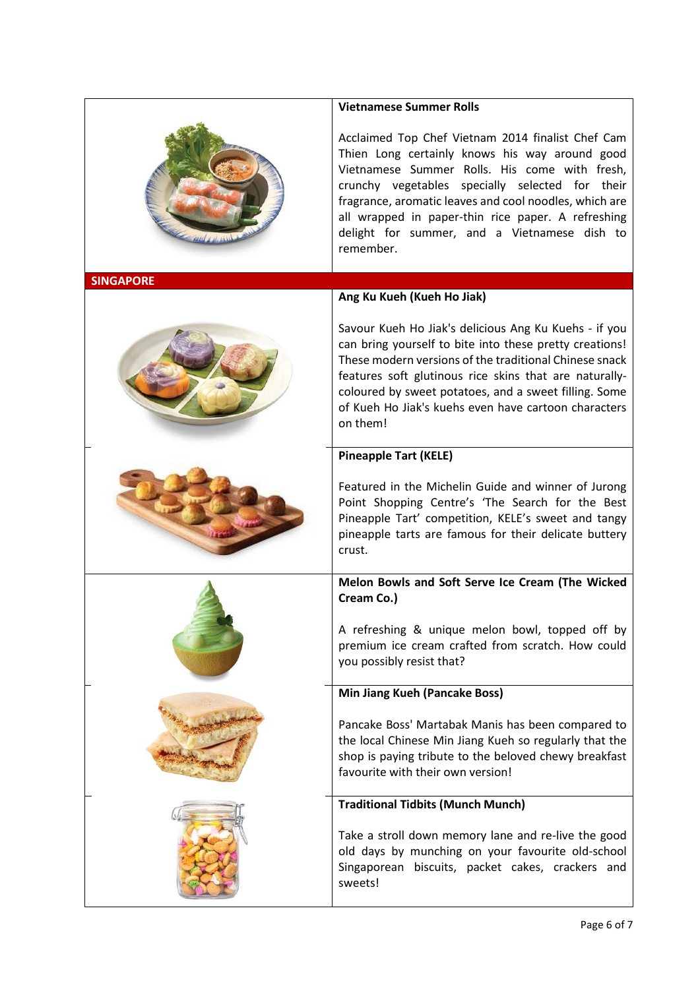|                  | <b>Vietnamese Summer Rolls</b>                                                                                                                                                                                                                                                                                                                                                       |
|------------------|--------------------------------------------------------------------------------------------------------------------------------------------------------------------------------------------------------------------------------------------------------------------------------------------------------------------------------------------------------------------------------------|
|                  | Acclaimed Top Chef Vietnam 2014 finalist Chef Cam<br>Thien Long certainly knows his way around good<br>Vietnamese Summer Rolls. His come with fresh,<br>crunchy vegetables specially selected for their<br>fragrance, aromatic leaves and cool noodles, which are<br>all wrapped in paper-thin rice paper. A refreshing<br>delight for summer, and a Vietnamese dish to<br>remember. |
| <b>SINGAPORE</b> |                                                                                                                                                                                                                                                                                                                                                                                      |
|                  | Ang Ku Kueh (Kueh Ho Jiak)                                                                                                                                                                                                                                                                                                                                                           |
|                  | Savour Kueh Ho Jiak's delicious Ang Ku Kuehs - if you<br>can bring yourself to bite into these pretty creations!<br>These modern versions of the traditional Chinese snack<br>features soft glutinous rice skins that are naturally-<br>coloured by sweet potatoes, and a sweet filling. Some<br>of Kueh Ho Jiak's kuehs even have cartoon characters<br>on them!                    |
|                  | <b>Pineapple Tart (KELE)</b>                                                                                                                                                                                                                                                                                                                                                         |
|                  | Featured in the Michelin Guide and winner of Jurong<br>Point Shopping Centre's 'The Search for the Best<br>Pineapple Tart' competition, KELE's sweet and tangy<br>pineapple tarts are famous for their delicate buttery<br>crust.                                                                                                                                                    |
|                  | Melon Bowls and Soft Serve Ice Cream (The Wicked<br>Cream Co.)                                                                                                                                                                                                                                                                                                                       |
|                  | A refreshing & unique melon bowl, topped off by<br>premium ice cream crafted from scratch. How could<br>you possibly resist that?                                                                                                                                                                                                                                                    |
|                  | <b>Min Jiang Kueh (Pancake Boss)</b>                                                                                                                                                                                                                                                                                                                                                 |
|                  | Pancake Boss' Martabak Manis has been compared to<br>the local Chinese Min Jiang Kueh so regularly that the<br>shop is paying tribute to the beloved chewy breakfast<br>favourite with their own version!                                                                                                                                                                            |
|                  | <b>Traditional Tidbits (Munch Munch)</b>                                                                                                                                                                                                                                                                                                                                             |
|                  | Take a stroll down memory lane and re-live the good<br>old days by munching on your favourite old-school<br>Singaporean biscuits, packet cakes, crackers and<br>sweets!                                                                                                                                                                                                              |